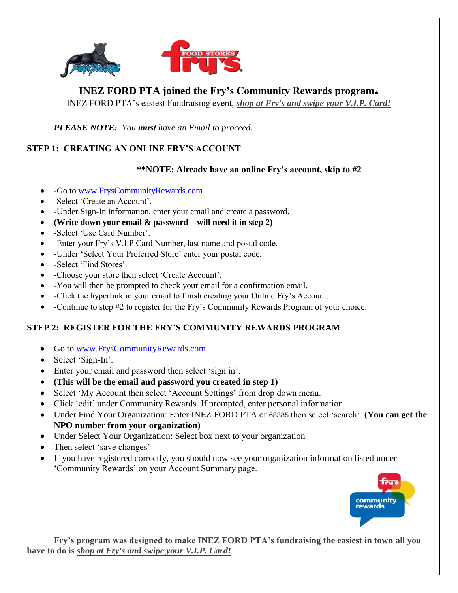

# **INEZ FORD PTA joined the Fry's Community Rewards program.**

INEZ FORD PTA's easiest Fundraising event, *shop at Fry's and swipe your V.I.P. Card!*

*PLEASE NOTE: You must have an Email to proceed.* 

## **STEP 1: CREATING AN ONLINE FRY'S ACCOUNT**

## **\*\*NOTE: Already have an online Fry's account, skip to #2**

- -Go to [www.FrysCommunityRewards.com](http://www.fryscommunityrewards.com/)
- -Select 'Create an Account'.
- -Under Sign-In information, enter your email and create a password.
- **(Write down your email & password—will need it in step 2)**
- -Select 'Use Card Number'.
- -Enter your Fry's V.I.P Card Number, last name and postal code.
- -Under 'Select Your Preferred Store' enter your postal code.
- -Select 'Find Stores'.
- -Choose your store then select 'Create Account'.
- -You will then be prompted to check your email for a confirmation email.
- -Click the hyperlink in your email to finish creating your Online Fry's Account.
- -Continue to step #2 to register for the Fry's Community Rewards Program of your choice.

## **STEP 2: REGISTER FOR THE FRY'S COMMUNITY REWARDS PROGRAM**

- Go to [www.FrysCommunityRewards.com](http://www.fryscommunityrewards.com/)
- Select 'Sign-In'.
- Enter your email and password then select 'sign in'.
- **(This will be the email and password you created in step 1)**
- Select 'My Account then select 'Account Settings' from drop down menu.
- Click 'edit' under Community Rewards. If prompted, enter personal information.
- Under Find Your Organization: Enter INEZ FORD PTA or 68385 then select 'search'. **(You can get the NPO number from your organization)**
- Under Select Your Organization: Select box next to your organization
- Then select 'save changes'
- If you have registered correctly, you should now see your organization information listed under 'Community Rewards' on your Account Summary page.



**Fry's program was designed to make INEZ FORD PTA's fundraising the easiest in town all you have to do is** *shop at Fry's and swipe your V.I.P. Card!*